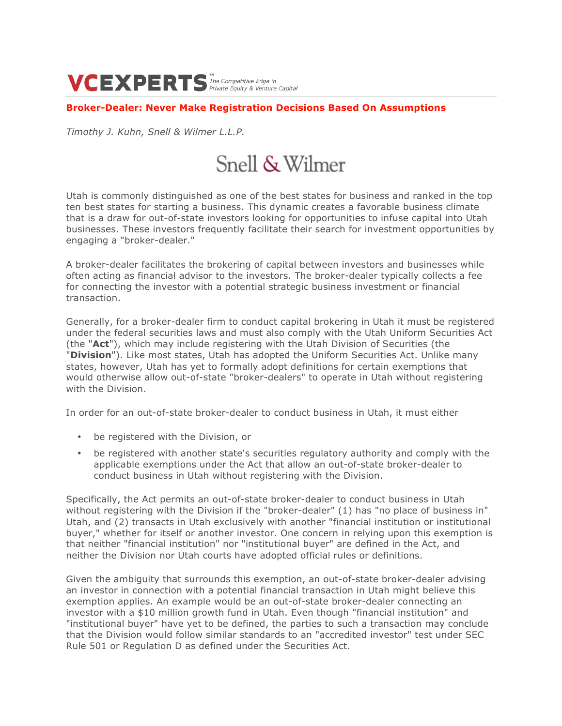VCEXPERTS The Competitive Edge in

## **Broker-Dealer: Never Make Registration Decisions Based On Assumptions**

*Timothy J. Kuhn, Snell & Wilmer L.L.P.*

# Snell & Wilmer

Utah is commonly distinguished as one of the best states for business and ranked in the top ten best states for starting a business. This dynamic creates a favorable business climate that is a draw for out-of-state investors looking for opportunities to infuse capital into Utah businesses. These investors frequently facilitate their search for investment opportunities by engaging a "broker-dealer."

A broker-dealer facilitates the brokering of capital between investors and businesses while often acting as financial advisor to the investors. The broker-dealer typically collects a fee for connecting the investor with a potential strategic business investment or financial transaction.

Generally, for a broker-dealer firm to conduct capital brokering in Utah it must be registered under the federal securities laws and must also comply with the Utah Uniform Securities Act (the "**Act**"), which may include registering with the Utah Division of Securities (the "**Division**"). Like most states, Utah has adopted the Uniform Securities Act. Unlike many states, however, Utah has yet to formally adopt definitions for certain exemptions that would otherwise allow out-of-state "broker-dealers" to operate in Utah without registering with the Division.

In order for an out-of-state broker-dealer to conduct business in Utah, it must either

- be registered with the Division, or
- be registered with another state's securities regulatory authority and comply with the applicable exemptions under the Act that allow an out-of-state broker-dealer to conduct business in Utah without registering with the Division.

Specifically, the Act permits an out-of-state broker-dealer to conduct business in Utah without registering with the Division if the "broker-dealer" (1) has "no place of business in" Utah, and (2) transacts in Utah exclusively with another "financial institution or institutional buyer," whether for itself or another investor. One concern in relying upon this exemption is that neither "financial institution" nor "institutional buyer" are defined in the Act, and neither the Division nor Utah courts have adopted official rules or definitions.

Given the ambiguity that surrounds this exemption, an out-of-state broker-dealer advising an investor in connection with a potential financial transaction in Utah might believe this exemption applies. An example would be an out-of-state broker-dealer connecting an investor with a \$10 million growth fund in Utah. Even though "financial institution" and "institutional buyer" have yet to be defined, the parties to such a transaction may conclude that the Division would follow similar standards to an "accredited investor" test under SEC Rule 501 or Regulation D as defined under the Securities Act.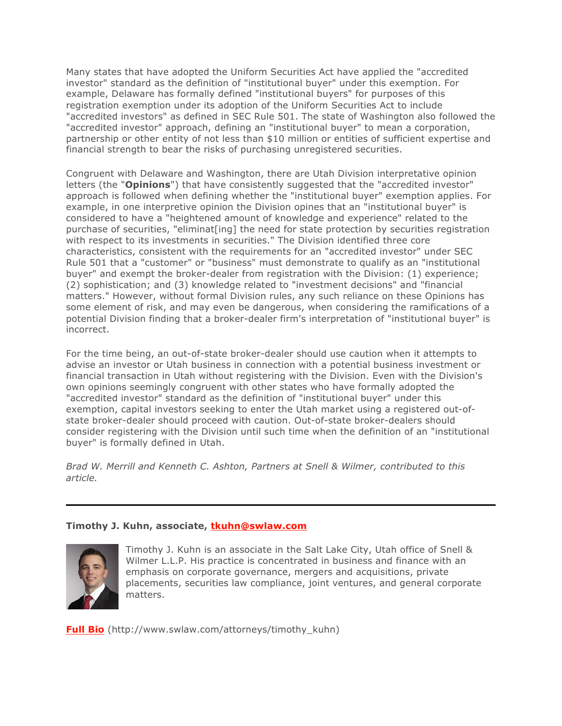Many states that have adopted the Uniform Securities Act have applied the "accredited investor" standard as the definition of "institutional buyer" under this exemption. For example, Delaware has formally defined "institutional buyers" for purposes of this registration exemption under its adoption of the Uniform Securities Act to include "accredited investors" as defined in SEC Rule 501. The state of Washington also followed the "accredited investor" approach, defining an "institutional buyer" to mean a corporation, partnership or other entity of not less than \$10 million or entities of sufficient expertise and financial strength to bear the risks of purchasing unregistered securities.

Congruent with Delaware and Washington, there are Utah Division interpretative opinion letters (the "**Opinions**") that have consistently suggested that the "accredited investor" approach is followed when defining whether the "institutional buyer" exemption applies. For example, in one interpretive opinion the Division opines that an "institutional buyer" is considered to have a "heightened amount of knowledge and experience" related to the purchase of securities, "eliminat[ing] the need for state protection by securities registration with respect to its investments in securities." The Division identified three core characteristics, consistent with the requirements for an "accredited investor" under SEC Rule 501 that a "customer" or "business" must demonstrate to qualify as an "institutional buyer" and exempt the broker-dealer from registration with the Division: (1) experience; (2) sophistication; and (3) knowledge related to "investment decisions" and "financial matters." However, without formal Division rules, any such reliance on these Opinions has some element of risk, and may even be dangerous, when considering the ramifications of a potential Division finding that a broker-dealer firm's interpretation of "institutional buyer" is incorrect.

For the time being, an out-of-state broker-dealer should use caution when it attempts to advise an investor or Utah business in connection with a potential business investment or financial transaction in Utah without registering with the Division. Even with the Division's own opinions seemingly congruent with other states who have formally adopted the "accredited investor" standard as the definition of "institutional buyer" under this exemption, capital investors seeking to enter the Utah market using a registered out-ofstate broker-dealer should proceed with caution. Out-of-state broker-dealers should consider registering with the Division until such time when the definition of an "institutional buyer" is formally defined in Utah.

*Brad W. Merrill and Kenneth C. Ashton, Partners at Snell & Wilmer, contributed to this article.*

## **Timothy J. Kuhn, associate, tkuhn@swlaw.com**



Timothy J. Kuhn is an associate in the Salt Lake City, Utah office of Snell & Wilmer L.L.P. His practice is concentrated in business and finance with an emphasis on corporate governance, mergers and acquisitions, private placements, securities law compliance, joint ventures, and general corporate matters.

**Full Bio** (http://www.swlaw.com/attorneys/timothy\_kuhn)